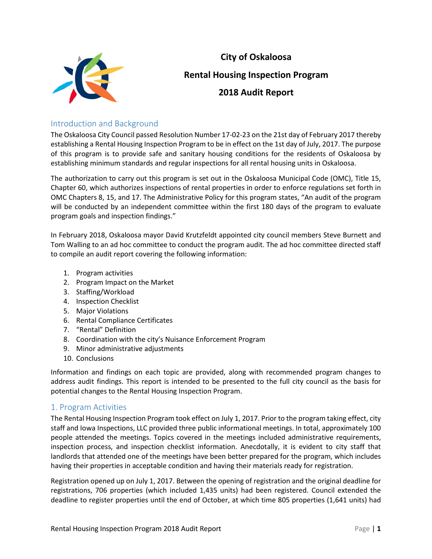

# **City of Oskaloosa Rental Housing Inspection Program 2018 Audit Report**

## Introduction and Background

The Oskaloosa City Council passed Resolution Number 17-02-23 on the 21st day of February 2017 thereby establishing a Rental Housing Inspection Program to be in effect on the 1st day of July, 2017. The purpose of this program is to provide safe and sanitary housing conditions for the residents of Oskaloosa by establishing minimum standards and regular inspections for all rental housing units in Oskaloosa.

The authorization to carry out this program is set out in the Oskaloosa Municipal Code (OMC), Title 15, Chapter 60, which authorizes inspections of rental properties in order to enforce regulations set forth in OMC Chapters 8, 15, and 17. The Administrative Policy for this program states, "An audit of the program will be conducted by an independent committee within the first 180 days of the program to evaluate program goals and inspection findings."

In February 2018, Oskaloosa mayor David Krutzfeldt appointed city council members Steve Burnett and Tom Walling to an ad hoc committee to conduct the program audit. The ad hoc committee directed staff to compile an audit report covering the following information:

- 1. Program activities
- 2. Program Impact on the Market
- 3. Staffing/Workload
- 4. Inspection Checklist
- 5. Major Violations
- 6. Rental Compliance Certificates
- 7. "Rental" Definition
- 8. Coordination with the city's Nuisance Enforcement Program
- 9. Minor administrative adjustments
- 10. Conclusions

Information and findings on each topic are provided, along with recommended program changes to address audit findings. This report is intended to be presented to the full city council as the basis for potential changes to the Rental Housing Inspection Program.

## 1. Program Activities

The Rental Housing Inspection Program took effect on July 1, 2017. Prior to the program taking effect, city staff and Iowa Inspections, LLC provided three public informational meetings. In total, approximately 100 people attended the meetings. Topics covered in the meetings included administrative requirements, inspection process, and inspection checklist information. Anecdotally, it is evident to city staff that landlords that attended one of the meetings have been better prepared for the program, which includes having their properties in acceptable condition and having their materials ready for registration.

Registration opened up on July 1, 2017. Between the opening of registration and the original deadline for registrations, 706 properties (which included 1,435 units) had been registered. Council extended the deadline to register properties until the end of October, at which time 805 properties (1,641 units) had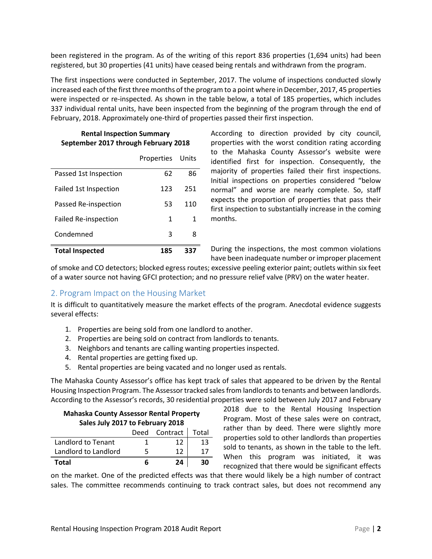been registered in the program. As of the writing of this report 836 properties (1,694 units) had been registered, but 30 properties (41 units) have ceased being rentals and withdrawn from the program.

The first inspections were conducted in September, 2017. The volume of inspections conducted slowly increased each of the first three months of the program to a point where in December, 2017, 45 properties were inspected or re-inspected. As shown in the table below, a total of 185 properties, which includes 337 individual rental units, have been inspected from the beginning of the program through the end of February, 2018. Approximately one-third of properties passed their first inspection.

#### **Rental Inspection Summary September 2017 through February 2018**

|                             | Properties Units |     |
|-----------------------------|------------------|-----|
| Passed 1st Inspection       | 62               | 86  |
| Failed 1st Inspection       | 123              | 251 |
| Passed Re-inspection        | 53               | 110 |
| <b>Failed Re-inspection</b> | 1                | 1   |
| Condemned                   | 3                | 8   |
| <b>Total Inspected</b>      | 185              | 337 |

According to direction provided by city council, properties with the worst condition rating according to the Mahaska County Assessor's website were identified first for inspection. Consequently, the majority of properties failed their first inspections. Initial inspections on properties considered "below normal" and worse are nearly complete. So, staff expects the proportion of properties that pass their first inspection to substantially increase in the coming months.

During the inspections, the most common violations have been inadequate number or improper placement

of smoke and CO detectors; blocked egress routes; excessive peeling exterior paint; outlets within six feet of a water source not having GFCI protection; and no pressure relief valve (PRV) on the water heater.

#### 2. Program Impact on the Housing Market

It is difficult to quantitatively measure the market effects of the program. Anecdotal evidence suggests several effects:

- 1. Properties are being sold from one landlord to another.
- 2. Properties are being sold on contract from landlords to tenants.
- 3. Neighbors and tenants are calling wanting properties inspected.
- 4. Rental properties are getting fixed up.
- 5. Rental properties are being vacated and no longer used as rentals.

The Mahaska County Assessor's office has kept track of sales that appeared to be driven by the Rental Housing Inspection Program. The Assessor tracked sales from landlords to tenants and between landlords. According to the Assessor's records, 30 residential properties were sold between July 2017 and February

| <b>Mahaska County Assessor Rental Property</b><br>Sales July 2017 to February 2018 |   |               |       |  |
|------------------------------------------------------------------------------------|---|---------------|-------|--|
|                                                                                    |   | Deed Contract | Total |  |
| Landlord to Tenant                                                                 | 1 | 12            | 13    |  |
| Landlord to Landlord                                                               | 5 | 12            | 17    |  |
| Total                                                                              | 6 | 24            | ЗU    |  |

2018 due to the Rental Housing Inspection Program. Most of these sales were on contract, rather than by deed. There were slightly more properties sold to other landlords than properties sold to tenants, as shown in the table to the left. When this program was initiated, it was recognized that there would be significant effects

on the market. One of the predicted effects was that there would likely be a high number of contract sales. The committee recommends continuing to track contract sales, but does not recommend any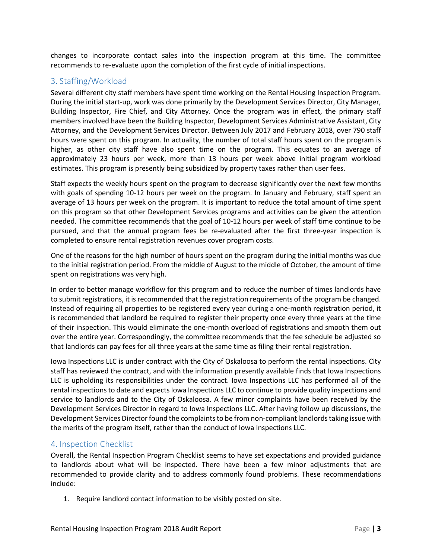changes to incorporate contact sales into the inspection program at this time. The committee recommends to re-evaluate upon the completion of the first cycle of initial inspections.

### 3. Staffing/Workload

Several different city staff members have spent time working on the Rental Housing Inspection Program. During the initial start-up, work was done primarily by the Development Services Director, City Manager, Building Inspector, Fire Chief, and City Attorney. Once the program was in effect, the primary staff members involved have been the Building Inspector, Development Services Administrative Assistant, City Attorney, and the Development Services Director. Between July 2017 and February 2018, over 790 staff hours were spent on this program. In actuality, the number of total staff hours spent on the program is higher, as other city staff have also spent time on the program. This equates to an average of approximately 23 hours per week, more than 13 hours per week above initial program workload estimates. This program is presently being subsidized by property taxes rather than user fees.

Staff expects the weekly hours spent on the program to decrease significantly over the next few months with goals of spending 10-12 hours per week on the program. In January and February, staff spent an average of 13 hours per week on the program. It is important to reduce the total amount of time spent on this program so that other Development Services programs and activities can be given the attention needed. The committee recommends that the goal of 10-12 hours per week of staff time continue to be pursued, and that the annual program fees be re-evaluated after the first three-year inspection is completed to ensure rental registration revenues cover program costs.

One of the reasons for the high number of hours spent on the program during the initial months was due to the initial registration period. From the middle of August to the middle of October, the amount of time spent on registrations was very high.

In order to better manage workflow for this program and to reduce the number of times landlords have to submit registrations, it is recommended that the registration requirements of the program be changed. Instead of requiring all properties to be registered every year during a one-month registration period, it is recommended that landlord be required to register their property once every three years at the time of their inspection. This would eliminate the one-month overload of registrations and smooth them out over the entire year. Correspondingly, the committee recommends that the fee schedule be adjusted so that landlords can pay fees for all three years at the same time as filing their rental registration.

Iowa Inspections LLC is under contract with the City of Oskaloosa to perform the rental inspections. City staff has reviewed the contract, and with the information presently available finds that Iowa Inspections LLC is upholding its responsibilities under the contract. Iowa Inspections LLC has performed all of the rental inspections to date and expects Iowa Inspections LLC to continue to provide quality inspections and service to landlords and to the City of Oskaloosa. A few minor complaints have been received by the Development Services Director in regard to Iowa Inspections LLC. After having follow up discussions, the Development Services Director found the complaints to be from non-compliant landlords taking issue with the merits of the program itself, rather than the conduct of Iowa Inspections LLC.

#### 4. Inspection Checklist

Overall, the Rental Inspection Program Checklist seems to have set expectations and provided guidance to landlords about what will be inspected. There have been a few minor adjustments that are recommended to provide clarity and to address commonly found problems. These recommendations include:

1. Require landlord contact information to be visibly posted on site.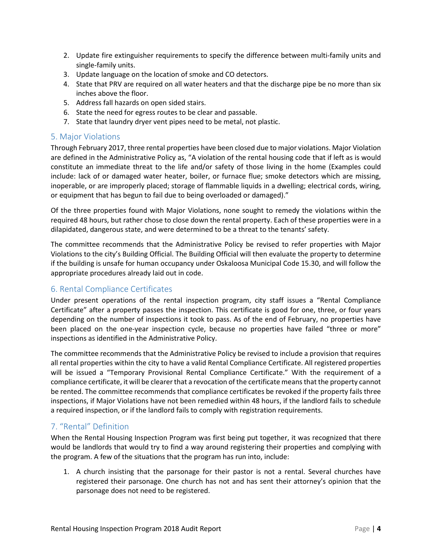- 2. Update fire extinguisher requirements to specify the difference between multi-family units and single-family units.
- 3. Update language on the location of smoke and CO detectors.
- 4. State that PRV are required on all water heaters and that the discharge pipe be no more than six inches above the floor.
- 5. Address fall hazards on open sided stairs.
- 6. State the need for egress routes to be clear and passable.
- 7. State that laundry dryer vent pipes need to be metal, not plastic.

#### 5. Major Violations

Through February 2017, three rental properties have been closed due to major violations. Major Violation are defined in the Administrative Policy as, "A violation of the rental housing code that if left as is would constitute an immediate threat to the life and/or safety of those living in the home (Examples could include: lack of or damaged water heater, boiler, or furnace flue; smoke detectors which are missing, inoperable, or are improperly placed; storage of flammable liquids in a dwelling; electrical cords, wiring, or equipment that has begun to fail due to being overloaded or damaged)."

Of the three properties found with Major Violations, none sought to remedy the violations within the required 48 hours, but rather chose to close down the rental property. Each of these properties were in a dilapidated, dangerous state, and were determined to be a threat to the tenants' safety.

The committee recommends that the Administrative Policy be revised to refer properties with Major Violations to the city's Building Official. The Building Official will then evaluate the property to determine if the building is unsafe for human occupancy under Oskaloosa Municipal Code 15.30, and will follow the appropriate procedures already laid out in code.

## 6. Rental Compliance Certificates

Under present operations of the rental inspection program, city staff issues a "Rental Compliance Certificate" after a property passes the inspection. This certificate is good for one, three, or four years depending on the number of inspections it took to pass. As of the end of February, no properties have been placed on the one-year inspection cycle, because no properties have failed "three or more" inspections as identified in the Administrative Policy.

The committee recommends that the Administrative Policy be revised to include a provision that requires all rental properties within the city to have a valid Rental Compliance Certificate. All registered properties will be issued a "Temporary Provisional Rental Compliance Certificate." With the requirement of a compliance certificate, it will be clearer that a revocation of the certificate means that the property cannot be rented. The committee recommends that compliance certificates be revoked if the property fails three inspections, if Major Violations have not been remedied within 48 hours, if the landlord fails to schedule a required inspection, or if the landlord fails to comply with registration requirements.

## 7. "Rental" Definition

When the Rental Housing Inspection Program was first being put together, it was recognized that there would be landlords that would try to find a way around registering their properties and complying with the program. A few of the situations that the program has run into, include:

1. A church insisting that the parsonage for their pastor is not a rental. Several churches have registered their parsonage. One church has not and has sent their attorney's opinion that the parsonage does not need to be registered.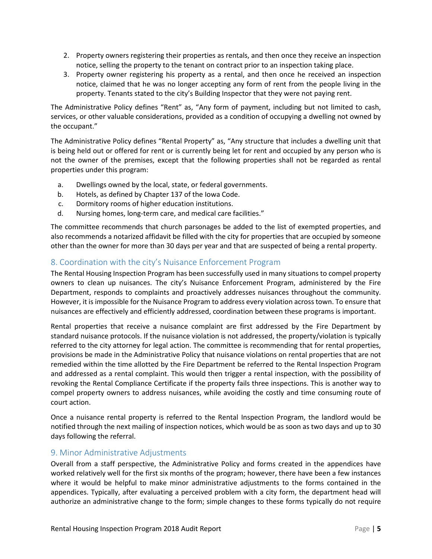- 2. Property owners registering their properties as rentals, and then once they receive an inspection notice, selling the property to the tenant on contract prior to an inspection taking place.
- 3. Property owner registering his property as a rental, and then once he received an inspection notice, claimed that he was no longer accepting any form of rent from the people living in the property. Tenants stated to the city's Building Inspector that they were not paying rent.

The Administrative Policy defines "Rent" as, "Any form of payment, including but not limited to cash, services, or other valuable considerations, provided as a condition of occupying a dwelling not owned by the occupant."

The Administrative Policy defines "Rental Property" as, "Any structure that includes a dwelling unit that is being held out or offered for rent or is currently being let for rent and occupied by any person who is not the owner of the premises, except that the following properties shall not be regarded as rental properties under this program:

- a. Dwellings owned by the local, state, or federal governments.
- b. Hotels, as defined by Chapter 137 of the Iowa Code.
- c. Dormitory rooms of higher education institutions.
- d. Nursing homes, long-term care, and medical care facilities."

The committee recommends that church parsonages be added to the list of exempted properties, and also recommends a notarized affidavit be filled with the city for properties that are occupied by someone other than the owner for more than 30 days per year and that are suspected of being a rental property.

## 8. Coordination with the city's Nuisance Enforcement Program

The Rental Housing Inspection Program has been successfully used in many situations to compel property owners to clean up nuisances. The city's Nuisance Enforcement Program, administered by the Fire Department, responds to complaints and proactively addresses nuisances throughout the community. However, it is impossible for the Nuisance Program to address every violation across town. To ensure that nuisances are effectively and efficiently addressed, coordination between these programs is important.

Rental properties that receive a nuisance complaint are first addressed by the Fire Department by standard nuisance protocols. If the nuisance violation is not addressed, the property/violation is typically referred to the city attorney for legal action. The committee is recommending that for rental properties, provisions be made in the Administrative Policy that nuisance violations on rental properties that are not remedied within the time allotted by the Fire Department be referred to the Rental Inspection Program and addressed as a rental complaint. This would then trigger a rental inspection, with the possibility of revoking the Rental Compliance Certificate if the property fails three inspections. This is another way to compel property owners to address nuisances, while avoiding the costly and time consuming route of court action.

Once a nuisance rental property is referred to the Rental Inspection Program, the landlord would be notified through the next mailing of inspection notices, which would be as soon as two days and up to 30 days following the referral.

## 9. Minor Administrative Adjustments

Overall from a staff perspective, the Administrative Policy and forms created in the appendices have worked relatively well for the first six months of the program; however, there have been a few instances where it would be helpful to make minor administrative adjustments to the forms contained in the appendices. Typically, after evaluating a perceived problem with a city form, the department head will authorize an administrative change to the form; simple changes to these forms typically do not require